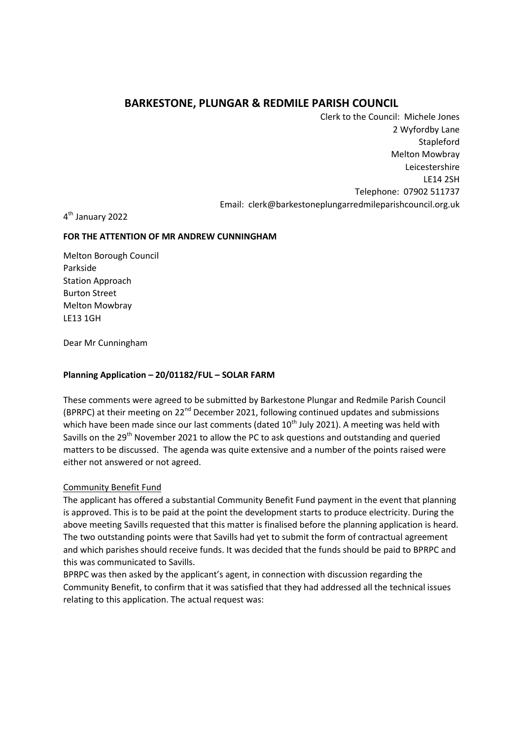# **BARKESTONE, PLUNGAR & REDMILE PARISH COUNCIL**

Clerk to the Council: Michele Jones 2 Wyfordby Lane **Stapleford** Melton Mowbray Leicestershire LE14 2SH Telephone: 07902 511737 Email: clerk@barkestoneplungarredmileparishcouncil.org.uk

4<sup>th</sup> January 2022

### **FOR THE ATTENTION OF MR ANDREW CUNNINGHAM**

Melton Borough Council Parkside Station Approach Burton Street Melton Mowbray LE13 1GH

Dear Mr Cunningham

## **Planning Application – 20/01182/FUL – SOLAR FARM**

These comments were agreed to be submitted by Barkestone Plungar and Redmile Parish Council (BPRPC) at their meeting on  $22^{nd}$  December 2021, following continued updates and submissions which have been made since our last comments (dated  $10<sup>th</sup>$  July 2021). A meeting was held with Savills on the 29<sup>th</sup> November 2021 to allow the PC to ask questions and outstanding and queried matters to be discussed. The agenda was quite extensive and a number of the points raised were either not answered or not agreed.

## Community Benefit Fund

The applicant has offered a substantial Community Benefit Fund payment in the event that planning is approved. This is to be paid at the point the development starts to produce electricity. During the above meeting Savills requested that this matter is finalised before the planning application is heard. The two outstanding points were that Savills had yet to submit the form of contractual agreement and which parishes should receive funds. It was decided that the funds should be paid to BPRPC and this was communicated to Savills.

BPRPC was then asked by the applicant's agent, in connection with discussion regarding the Community Benefit, to confirm that it was satisfied that they had addressed all the technical issues relating to this application. The actual request was: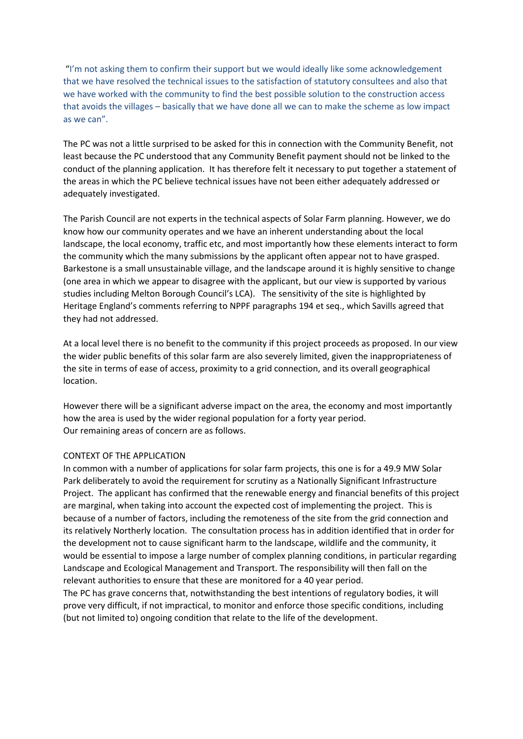"I'm not asking them to confirm their support but we would ideally like some acknowledgement that we have resolved the technical issues to the satisfaction of statutory consultees and also that we have worked with the community to find the best possible solution to the construction access that avoids the villages – basically that we have done all we can to make the scheme as low impact as we can".

The PC was not a little surprised to be asked for this in connection with the Community Benefit, not least because the PC understood that any Community Benefit payment should not be linked to the conduct of the planning application. It has therefore felt it necessary to put together a statement of the areas in which the PC believe technical issues have not been either adequately addressed or adequately investigated.

The Parish Council are not experts in the technical aspects of Solar Farm planning. However, we do know how our community operates and we have an inherent understanding about the local landscape, the local economy, traffic etc, and most importantly how these elements interact to form the community which the many submissions by the applicant often appear not to have grasped. Barkestone is a small unsustainable village, and the landscape around it is highly sensitive to change (one area in which we appear to disagree with the applicant, but our view is supported by various studies including Melton Borough Council's LCA). The sensitivity of the site is highlighted by Heritage England's comments referring to NPPF paragraphs 194 et seq., which Savills agreed that they had not addressed.

At a local level there is no benefit to the community if this project proceeds as proposed. In our view the wider public benefits of this solar farm are also severely limited, given the inappropriateness of the site in terms of ease of access, proximity to a grid connection, and its overall geographical location.

However there will be a significant adverse impact on the area, the economy and most importantly how the area is used by the wider regional population for a forty year period. Our remaining areas of concern are as follows.

#### CONTEXT OF THE APPLICATION

In common with a number of applications for solar farm projects, this one is for a 49.9 MW Solar Park deliberately to avoid the requirement for scrutiny as a Nationally Significant Infrastructure Project. The applicant has confirmed that the renewable energy and financial benefits of this project are marginal, when taking into account the expected cost of implementing the project. This is because of a number of factors, including the remoteness of the site from the grid connection and its relatively Northerly location. The consultation process has in addition identified that in order for the development not to cause significant harm to the landscape, wildlife and the community, it would be essential to impose a large number of complex planning conditions, in particular regarding Landscape and Ecological Management and Transport. The responsibility will then fall on the relevant authorities to ensure that these are monitored for a 40 year period.

The PC has grave concerns that, notwithstanding the best intentions of regulatory bodies, it will prove very difficult, if not impractical, to monitor and enforce those specific conditions, including (but not limited to) ongoing condition that relate to the life of the development.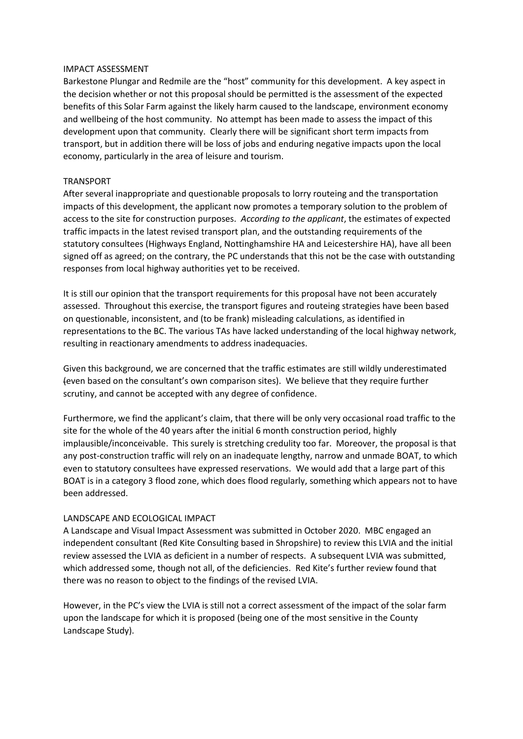#### IMPACT ASSESSMENT

Barkestone Plungar and Redmile are the "host" community for this development. A key aspect in the decision whether or not this proposal should be permitted is the assessment of the expected benefits of this Solar Farm against the likely harm caused to the landscape, environment economy and wellbeing of the host community. No attempt has been made to assess the impact of this development upon that community. Clearly there will be significant short term impacts from transport, but in addition there will be loss of jobs and enduring negative impacts upon the local economy, particularly in the area of leisure and tourism.

#### TRANSPORT

After several inappropriate and questionable proposals to lorry routeing and the transportation impacts of this development, the applicant now promotes a temporary solution to the problem of access to the site for construction purposes. *According to the applicant*, the estimates of expected traffic impacts in the latest revised transport plan, and the outstanding requirements of the statutory consultees (Highways England, Nottinghamshire HA and Leicestershire HA), have all been signed off as agreed; on the contrary, the PC understands that this not be the case with outstanding responses from local highway authorities yet to be received.

It is still our opinion that the transport requirements for this proposal have not been accurately assessed. Throughout this exercise, the transport figures and routeing strategies have been based on questionable, inconsistent, and (to be frank) misleading calculations, as identified in representations to the BC. The various TAs have lacked understanding of the local highway network, resulting in reactionary amendments to address inadequacies.

Given this background, we are concerned that the traffic estimates are still wildly underestimated (even based on the consultant's own comparison sites). We believe that they require further scrutiny, and cannot be accepted with any degree of confidence.

Furthermore, we find the applicant's claim, that there will be only very occasional road traffic to the site for the whole of the 40 years after the initial 6 month construction period, highly implausible/inconceivable. This surely is stretching credulity too far. Moreover, the proposal is that any post-construction traffic will rely on an inadequate lengthy, narrow and unmade BOAT, to which even to statutory consultees have expressed reservations. We would add that a large part of this BOAT is in a category 3 flood zone, which does flood regularly, something which appears not to have been addressed.

#### LANDSCAPE AND ECOLOGICAL IMPACT

A Landscape and Visual Impact Assessment was submitted in October 2020. MBC engaged an independent consultant (Red Kite Consulting based in Shropshire) to review this LVIA and the initial review assessed the LVIA as deficient in a number of respects. A subsequent LVIA was submitted, which addressed some, though not all, of the deficiencies. Red Kite's further review found that there was no reason to object to the findings of the revised LVIA.

However, in the PC's view the LVIA is still not a correct assessment of the impact of the solar farm upon the landscape for which it is proposed (being one of the most sensitive in the County Landscape Study).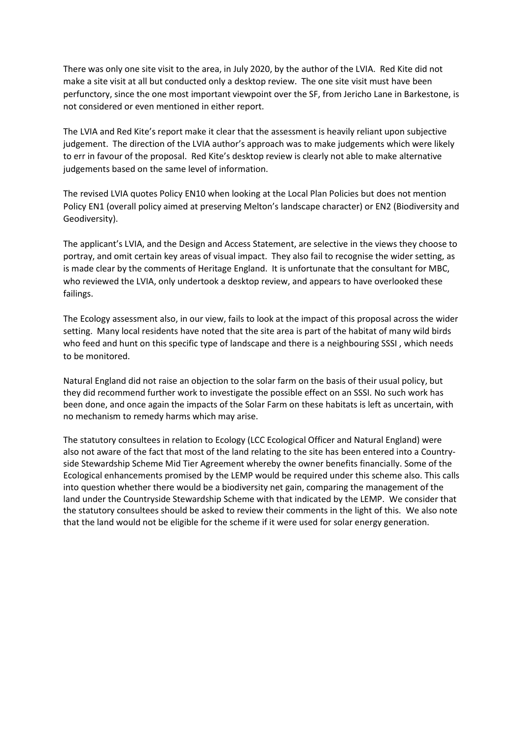There was only one site visit to the area, in July 2020, by the author of the LVIA. Red Kite did not make a site visit at all but conducted only a desktop review. The one site visit must have been perfunctory, since the one most important viewpoint over the SF, from Jericho Lane in Barkestone, is not considered or even mentioned in either report.

The LVIA and Red Kite's report make it clear that the assessment is heavily reliant upon subjective judgement. The direction of the LVIA author's approach was to make judgements which were likely to err in favour of the proposal. Red Kite's desktop review is clearly not able to make alternative judgements based on the same level of information.

The revised LVIA quotes Policy EN10 when looking at the Local Plan Policies but does not mention Policy EN1 (overall policy aimed at preserving Melton's landscape character) or EN2 (Biodiversity and Geodiversity).

The applicant's LVIA, and the Design and Access Statement, are selective in the views they choose to portray, and omit certain key areas of visual impact. They also fail to recognise the wider setting, as is made clear by the comments of Heritage England. It is unfortunate that the consultant for MBC, who reviewed the LVIA, only undertook a desktop review, and appears to have overlooked these failings.

The Ecology assessment also, in our view, fails to look at the impact of this proposal across the wider setting. Many local residents have noted that the site area is part of the habitat of many wild birds who feed and hunt on this specific type of landscape and there is a neighbouring SSSI , which needs to be monitored.

Natural England did not raise an objection to the solar farm on the basis of their usual policy, but they did recommend further work to investigate the possible effect on an SSSI. No such work has been done, and once again the impacts of the Solar Farm on these habitats is left as uncertain, with no mechanism to remedy harms which may arise.

The statutory consultees in relation to Ecology (LCC Ecological Officer and Natural England) were also not aware of the fact that most of the land relating to the site has been entered into a Countryside Stewardship Scheme Mid Tier Agreement whereby the owner benefits financially. Some of the Ecological enhancements promised by the LEMP would be required under this scheme also. This calls into question whether there would be a biodiversity net gain, comparing the management of the land under the Countryside Stewardship Scheme with that indicated by the LEMP. We consider that the statutory consultees should be asked to review their comments in the light of this. We also note that the land would not be eligible for the scheme if it were used for solar energy generation.